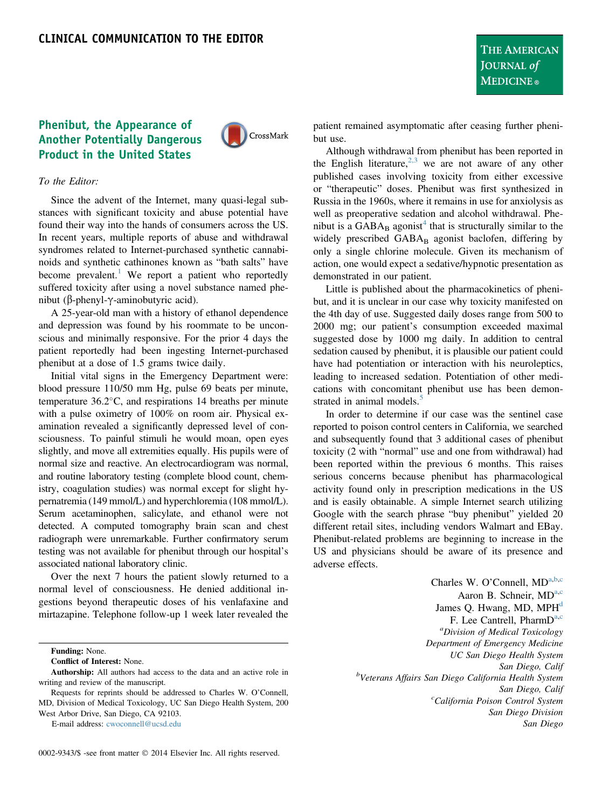## THE AMERICAN JOURNAL of **MEDICINE**®

## Phenibut, the Appearance of Another Potentially Dangerous Product in the United States



## To the Editor:

Since the advent of the Internet, many quasi-legal substances with significant toxicity and abuse potential have found their way into the hands of consumers across the US. In recent years, multiple reports of abuse and withdrawal syndromes related to Internet-purchased synthetic cannabinoids and synthetic cathinones known as "bath salts" have become prevalent.<sup>[1](#page-1-0)</sup> We report a patient who reportedly suffered toxicity after using a novel substance named phenibut ( $\beta$ -phenyl- $\gamma$ -aminobutyric acid).

A 25-year-old man with a history of ethanol dependence and depression was found by his roommate to be unconscious and minimally responsive. For the prior 4 days the patient reportedly had been ingesting Internet-purchased phenibut at a dose of 1.5 grams twice daily.

Initial vital signs in the Emergency Department were: blood pressure 110/50 mm Hg, pulse 69 beats per minute, temperature  $36.2^{\circ}$ C, and respirations 14 breaths per minute with a pulse oximetry of 100% on room air. Physical examination revealed a significantly depressed level of consciousness. To painful stimuli he would moan, open eyes slightly, and move all extremities equally. His pupils were of normal size and reactive. An electrocardiogram was normal, and routine laboratory testing (complete blood count, chemistry, coagulation studies) was normal except for slight hypernatremia (149 mmol/L) and hyperchloremia (108 mmol/L). Serum acetaminophen, salicylate, and ethanol were not detected. A computed tomography brain scan and chest radiograph were unremarkable. Further confirmatory serum testing was not available for phenibut through our hospital's associated national laboratory clinic.

Over the next 7 hours the patient slowly returned to a normal level of consciousness. He denied additional ingestions beyond therapeutic doses of his venlafaxine and mirtazapine. Telephone follow-up 1 week later revealed the

Funding: None.

E-mail address: [cwoconnell@ucsd.edu](mailto:cwoconnell@ucsd.edu)

0002-9343/\$ -see front matter © 2014 Elsevier Inc. All rights reserved.

patient remained asymptomatic after ceasing further phenibut use.

Although withdrawal from phenibut has been reported in the English literature,  $2,3$  we are not aware of any other published cases involving toxicity from either excessive or "therapeutic" doses. Phenibut was first synthesized in Russia in the 1960s, where it remains in use for anxiolysis as well as preoperative sedation and alcohol withdrawal. Phenibut is a  $GABA_B$  agonist<sup>[4](#page-1-0)</sup> that is structurally similar to the widely prescribed GABA<sub>B</sub> agonist baclofen, differing by only a single chlorine molecule. Given its mechanism of action, one would expect a sedative/hypnotic presentation as demonstrated in our patient.

Little is published about the pharmacokinetics of phenibut, and it is unclear in our case why toxicity manifested on the 4th day of use. Suggested daily doses range from 500 to 2000 mg; our patient's consumption exceeded maximal suggested dose by 1000 mg daily. In addition to central sedation caused by phenibut, it is plausible our patient could have had potentiation or interaction with his neuroleptics, leading to increased sedation. Potentiation of other medications with concomitant phenibut use has been demon-strated in animal models.<sup>[5](#page-1-0)</sup>

In order to determine if our case was the sentinel case reported to poison control centers in California, we searched and subsequently found that 3 additional cases of phenibut toxicity (2 with "normal" use and one from withdrawal) had been reported within the previous 6 months. This raises serious concerns because phenibut has pharmacological activity found only in prescription medications in the US and is easily obtainable. A simple Internet search utilizing Google with the search phrase "buy phenibut" yielded 20 different retail sites, including vendors Walmart and EBay. Phenibut-related problems are beginning to increase in the US and physicians should be aware of its presence and adverse effects.

> Charles W. O'Connell, MDa,b,c Aaron B. Schneir, MD<sup>a,c</sup> James Q. Hwang, MD,  $MPH<sup>d</sup>$ F. Lee Cantrell, Pharm $D^{a,c}$ <sup>a</sup>Division of Medical Toxicology Department of Emergency Medicine UC San Diego Health System San Diego, Calif<br><sup>b</sup>Veterans Affairs San Diego California Health System San Diego, Calif<br>California Poison Control System<sup>c</sup> San Diego Division San Diego

Conflict of Interest: None.

Authorship: All authors had access to the data and an active role in writing and review of the manuscript.

Requests for reprints should be addressed to Charles W. O'Connell, MD, Division of Medical Toxicology, UC San Diego Health System, 200 West Arbor Drive, San Diego, CA 92103.